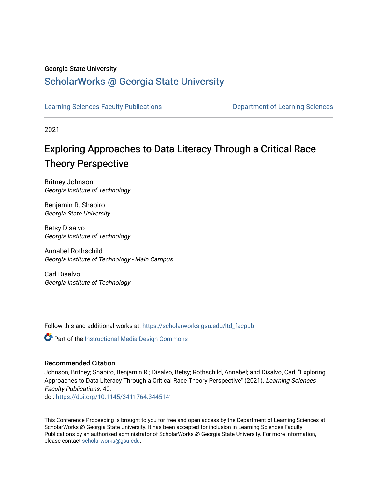## Georgia State University

## [ScholarWorks @ Georgia State University](https://scholarworks.gsu.edu/)

[Learning Sciences Faculty Publications](https://scholarworks.gsu.edu/ltd_facpub) [Department of Learning Sciences](https://scholarworks.gsu.edu/ltd) 

2021

# Exploring Approaches to Data Literacy Through a Critical Race Theory Perspective

Britney Johnson Georgia Institute of Technology

Benjamin R. Shapiro Georgia State University

Betsy Disalvo Georgia Institute of Technology

Annabel Rothschild Georgia Institute of Technology - Main Campus

Carl Disalvo Georgia Institute of Technology

Follow this and additional works at: [https://scholarworks.gsu.edu/ltd\\_facpub](https://scholarworks.gsu.edu/ltd_facpub?utm_source=scholarworks.gsu.edu%2Fltd_facpub%2F40&utm_medium=PDF&utm_campaign=PDFCoverPages) 

Part of the [Instructional Media Design Commons](https://network.bepress.com/hgg/discipline/795?utm_source=scholarworks.gsu.edu%2Fltd_facpub%2F40&utm_medium=PDF&utm_campaign=PDFCoverPages)

### Recommended Citation

Johnson, Britney; Shapiro, Benjamin R.; Disalvo, Betsy; Rothschild, Annabel; and Disalvo, Carl, "Exploring Approaches to Data Literacy Through a Critical Race Theory Perspective" (2021). Learning Sciences Faculty Publications. 40.

doi: <https://doi.org/10.1145/3411764.3445141>

This Conference Proceeding is brought to you for free and open access by the Department of Learning Sciences at ScholarWorks @ Georgia State University. It has been accepted for inclusion in Learning Sciences Faculty Publications by an authorized administrator of ScholarWorks @ Georgia State University. For more information, please contact [scholarworks@gsu.edu.](mailto:scholarworks@gsu.edu)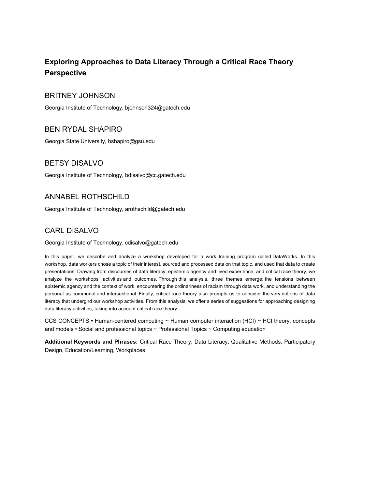## **Exploring Approaches to Data Literacy Through a Critical Race Theory Perspective**

## BRITNEY JOHNSON

Georgia Institute of Technology, bjohnson324@gatech.edu

## BEN RYDAL SHAPIRO

Georgia State University, bshapiro@gsu.edu

## BETSY DISALVO

Georgia Institute of Technology, bdisalvo@cc.gatech.edu

## ANNABEL ROTHSCHILD

Georgia Institute of Technology, arothschild@gatech.edu

## CARL DISALVO

Georgia Institute of Technology, cdisalvo@gatech.edu

In this paper, we describe and analyze a workshop developed for a work training program called DataWorks. In this workshop, data workers chose a topic of their interest, sourced and processed data on that topic, and used that data to create presentations. Drawing from discourses of data literacy; epistemic agency and lived experience; and critical race theory, we analyze the workshops' activities and outcomes. Through this analysis, three themes emerge: the tensions between epistemic agency and the context of work, encountering the ordinariness of racism through data work, and understanding the personal as communal and intersectional. Finally, critical race theory also prompts us to consider the very notions of data literacy that undergird our workshop activities. From this analysis, we offer a series of suggestions for approaching designing data literacy activities, taking into account critical race theory.

CCS CONCEPTS **•** Human-centered computing ~ Human computer interaction (HCI) ~ HCI theory, concepts and models • Social and professional topics ~ Professional Topics ~ Computing education

**Additional Keywords and Phrases:** Critical Race Theory, Data Literacy, Qualitative Methods, Participatory Design, Education/Learning, Workplaces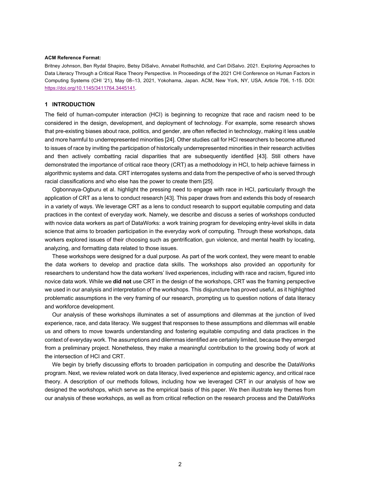#### **ACM Reference Format:**

Britney Johnson, Ben Rydal Shapiro, Betsy DiSalvo, Annabel Rothschild, and Carl DiSalvo. 2021. Exploring Approaches to Data Literacy Through a Critical Race Theory Perspective. In Proceedings of the 2021 CHI Conference on Human Factors in Computing Systems (CHI '21), May 08–13, 2021, Yokohama, Japan. ACM, New York, NY, USA, Article 706, 1-15. DOI: https://doi.org/10.1145/3411764.3445141.

#### **1 INTRODUCTION**

The field of human-computer interaction (HCI) is beginning to recognize that race and racism need to be considered in the design, development, and deployment of technology. For example, some research shows that pre-existing biases about race, politics, and gender, are often reflected in technology, making it less usable and more harmful to underrepresented minorities [24]. Other studies call for HCI researchers to become attuned to issues of race by inviting the participation of historically underrepresented minorities in their research activities and then actively combatting racial disparities that are subsequently identified [43]. Still others have demonstrated the importance of critical race theory (CRT) as a methodology in HCI, to help achieve fairness in algorithmic systems and data. CRT interrogates systems and data from the perspective of who is served through racial classifications and who else has the power to create them [25].

Ogbonnaya-Ogburu et al. highlight the pressing need to engage with race in HCI, particularly through the application of CRT as a lens to conduct research [43]. This paper draws from and extends this body of research in a variety of ways. We leverage CRT as a lens to conduct research to support equitable computing and data practices in the context of everyday work. Namely, we describe and discuss a series of workshops conducted with novice data workers as part of DataWorks: a work training program for developing entry-level skills in data science that aims to broaden participation in the everyday work of computing. Through these workshops, data workers explored issues of their choosing such as gentrification, gun violence, and mental health by locating, analyzing, and formatting data related to those issues.

These workshops were designed for a dual purpose. As part of the work context, they were meant to enable the data workers to develop and practice data skills. The workshops also provided an opportunity for researchers to understand how the data workers' lived experiences, including with race and racism, figured into novice data work. While we **did not** use CRT in the design of the workshops, CRT was the framing perspective we used in our analysis and interpretation of the workshops. This disjuncture has proved useful, as it highlighted problematic assumptions in the very framing of our research, prompting us to question notions of data literacy and workforce development.

Our analysis of these workshops illuminates a set of assumptions and dilemmas at the junction of lived experience, race, and data literacy. We suggest that responses to these assumptions and dilemmas will enable us and others to move towards understanding and fostering equitable computing and data practices in the context of everyday work. The assumptions and dilemmas identified are certainly limited, because they emerged from a preliminary project. Nonetheless, they make a meaningful contribution to the growing body of work at the intersection of HCI and CRT.

We begin by briefly discussing efforts to broaden participation in computing and describe the DataWorks program. Next, we review related work on data literacy, lived experience and epistemic agency, and critical race theory. A description of our methods follows, including how we leveraged CRT in our analysis of how we designed the workshops, which serve as the empirical basis of this paper. We then illustrate key themes from our analysis of these workshops, as well as from critical reflection on the research process and the DataWorks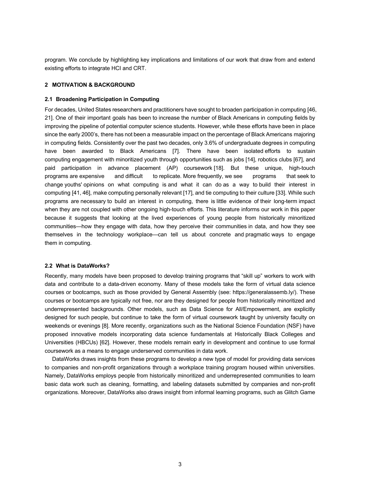program. We conclude by highlighting key implications and limitations of our work that draw from and extend existing efforts to integrate HCI and CRT.

#### **2 MOTIVATION & BACKGROUND**

#### **2.1 Broadening Participation in Computing**

For decades, United States researchers and practitioners have sought to broaden participation in computing [46, 21]. One of their important goals has been to increase the number of Black Americans in computing fields by improving the pipeline of potential computer science students. However, while these efforts have been in place since the early 2000's, there has not been a measurable impact on the percentage of Black Americans majoring in computing fields. Consistently over the past two decades, only 3.6% of undergraduate degrees in computing have been awarded to Black Americans [7]. There have been isolated efforts to sustain computing engagement with minoritized youth through opportunities such as jobs [14], robotics clubs [67], and paid participation in advance placement (AP) coursework [18]. But these unique, high-touch programs are expensive and difficult to replicate. More frequently, we see programs that seek to change youths' opinions on what computing is and what it can do as a way to build their interest in computing [41, 46], make computing personally relevant [17], and tie computing to their culture [33]. While such programs are necessary to build an interest in computing, there is little evidence of their long-term impact when they are not coupled with other ongoing high-touch efforts. This literature informs our work in this paper because it suggests that looking at the lived experiences of young people from historically minoritized communities—how they engage with data, how they perceive their communities in data, and how they see themselves in the technology workplace—can tell us about concrete and pragmatic ways to engage them in computing.

#### **2.2 What is DataWorks?**

Recently, many models have been proposed to develop training programs that "skill up" workers to work with data and contribute to a data-driven economy. Many of these models take the form of virtual data science courses or bootcamps, such as those provided by General Assembly (see: https://generalassemb.ly/). These courses or bootcamps are typically not free, nor are they designed for people from historically minoritized and underrepresented backgrounds. Other models, such as Data Science for All/Empowerment, are explicitly designed for such people, but continue to take the form of virtual coursework taught by university faculty on weekends or evenings [8]. More recently, organizations such as the National Science Foundation (NSF) have proposed innovative models incorporating data science fundamentals at Historically Black Colleges and Universities (HBCUs) [62]. However, these models remain early in development and continue to use formal coursework as a means to engage underserved communities in data work.

DataWorks draws insights from these programs to develop a new type of model for providing data services to companies and non-profit organizations through a workplace training program housed within universities. Namely, DataWorks employs people from historically minoritized and underrepresented communities to learn basic data work such as cleaning, formatting, and labeling datasets submitted by companies and non-profit organizations. Moreover, DataWorks also draws insight from informal learning programs, such as Glitch Game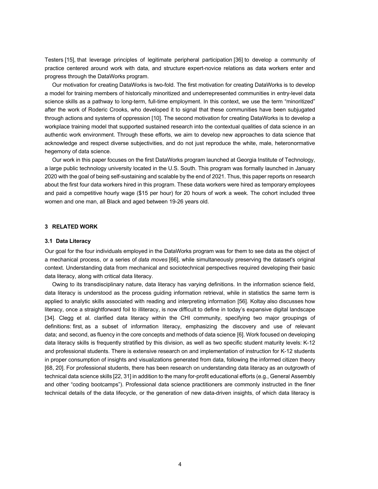Testers [15], that leverage principles of legitimate peripheral participation [36] to develop a community of practice centered around work with data, and structure expert-novice relations as data workers enter and progress through the DataWorks program.

Our motivation for creating DataWorks is two-fold. The first motivation for creating DataWorks is to develop a model for training members of historically minoritized and underrepresented communities in entry-level data science skills as a pathway to long-term, full-time employment. In this context, we use the term "minoritized" after the work of Roderic Crooks, who developed it to signal that these communities have been subjugated through actions and systems of oppression [10]. The second motivation for creating DataWorks is to develop a workplace training model that supported sustained research into the contextual qualities of data science in an authentic work environment. Through these efforts, we aim to develop new approaches to data science that acknowledge and respect diverse subjectivities, and do not just reproduce the white, male, heteronormative hegemony of data science.

Our work in this paper focuses on the first DataWorks program launched at Georgia Institute of Technology, a large public technology university located in the U.S. South. This program was formally launched in January 2020 with the goal of being self-sustaining and scalable by the end of 2021. Thus, this paper reports on research about the first four data workers hired in this program. These data workers were hired as temporary employees and paid a competitive hourly wage (\$15 per hour) for 20 hours of work a week. The cohort included three women and one man, all Black and aged between 19-26 years old.

#### **3 RELATED WORK**

#### **3.1 Data Literacy**

Our goal for the four individuals employed in the DataWorks program was for them to see data as the object of a mechanical process, or a series of *data moves* [66], while simultaneously preserving the dataset's original context. Understanding data from mechanical and sociotechnical perspectives required developing their basic data literacy, along with critical data literacy.

Owing to its transdisciplinary nature, data literacy has varying definitions. In the information science field, data literacy is understood as the process guiding information retrieval, while in statistics the same term is applied to analytic skills associated with reading and interpreting information [56]. Koltay also discusses how literacy, once a straightforward foil to illiteracy, is now difficult to define in today's expansive digital landscape [34]. Clegg et al. clarified data literacy within the CHI community, specifying two major groupings of definitions: first, as a subset of information literacy, emphasizing the discovery and use of relevant data; and second, as fluency in the core concepts and methods of data science [6]. Work focused on developing data literacy skills is frequently stratified by this division, as well as two specific student maturity levels: K-12 and professional students. There is extensive research on and implementation of instruction for K-12 students in proper consumption of insights and visualizations generated from data, following the informed citizen theory [68, 20]. For professional students, there has been research on understanding data literacy as an outgrowth of technical data science skills [22, 31] in addition to the many for-profit educational efforts (e.g., General Assembly and other "coding bootcamps"). Professional data science practitioners are commonly instructed in the finer technical details of the data lifecycle, or the generation of new data-driven insights, of which data literacy is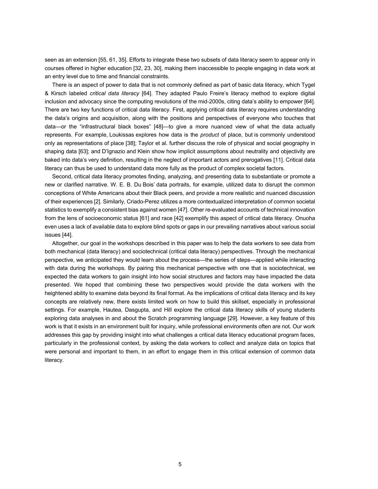seen as an extension [55, 61, 35]. Efforts to integrate these two subsets of data literacy seem to appear only in courses offered in higher education [32, 23, 30], making them inaccessible to people engaging in data work at an entry level due to time and financial constraints.

There is an aspect of power to data that is not commonly defined as part of basic data literacy, which Tygel & Kirsch labeled *critical data literacy* [64]. They adapted Paulo Freire's literacy method to explore digital inclusion and advocacy since the computing revolutions of the mid-2000s, citing data's ability to empower [64]. There are two key functions of critical data literacy. First, applying critical data literacy requires understanding the data's origins and acquisition, along with the positions and perspectives of everyone who touches that data—or the "infrastructural black boxes" [48]—to give a more nuanced view of what the data actually represents. For example, Loukissas explores how data is the *product* of place, but is commonly understood only as representations of place [38]; Taylor et al. further discuss the role of physical and social geography in shaping data [63]; and D'Ignazio and Klein show how implicit assumptions about neutrality and objectivity are baked into data's very definition, resulting in the neglect of important actors and prerogatives [11]. Critical data literacy can thus be used to understand data more fully as the product of complex societal factors.

Second, critical data literacy promotes finding, analyzing, and presenting data to substantiate or promote a new or clarified narrative. W. E. B. Du Bois' data portraits, for example, utilized data to disrupt the common conceptions of White Americans about their Black peers, and provide a more realistic and nuanced discussion of their experiences [2]. Similarly, Criado-Perez utilizes a more contextualized interpretation of common societal statistics to exemplify a consistent bias against women [47]. Other re-evaluated accounts of technical innovation from the lens of socioeconomic status [61] and race [42] exemplify this aspect of critical data literacy. Onuoha even uses a lack of available data to explore blind spots or gaps in our prevailing narratives about various social issues [44].

Altogether, our goal in the workshops described in this paper was to help the data workers to see data from both mechanical (data literacy) and sociotechnical (critical data literacy) perspectives. Through the mechanical perspective, we anticipated they would learn about the process—the series of steps—applied while interacting with data during the workshops. By pairing this mechanical perspective with one that is sociotechnical, we expected the data workers to gain insight into how social structures and factors may have impacted the data presented. We hoped that combining these two perspectives would provide the data workers with the heightened ability to examine data beyond its final format. As the implications of critical data literacy and its key concepts are relatively new, there exists limited work on how to build this skillset, especially in professional settings. For example, Hautea, Dasgupta, and Hill explore the critical data literacy skills of young students exploring data analyses in and about the Scratch programming language [29]. However, a key feature of this work is that it exists in an environment built for inquiry, while professional environments often are not. Our work addresses this gap by providing insight into what challenges a critical data literacy educational program faces, particularly in the professional context, by asking the data workers to collect and analyze data on topics that were personal and important to them, in an effort to engage them in this critical extension of common data literacy.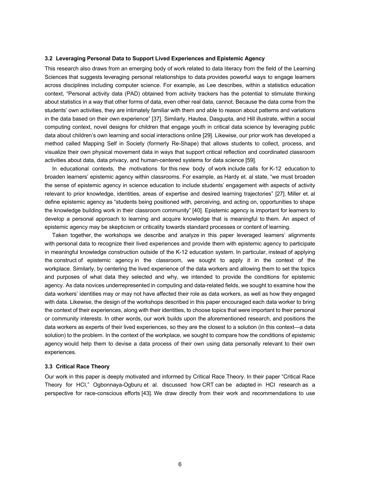#### **3.2 Leveraging Personal Data to Support Lived Experiences and Epistemic Agency**

This research also draws from an emerging body of work related to data literacy from the field of the Learning Sciences that suggests leveraging personal relationships to data provides powerful ways to engage learners across disciplines including computer science. For example, as Lee describes, within a statistics education context, "Personal activity data (PAD) obtained from activity trackers has the potential to stimulate thinking about statistics in a way that other forms of data, even other real data, cannot. Because the data come from the students' own activities, they are intimately familiar with them and able to reason about patterns and variations in the data based on their own experience" [37]. Similarly, Hautea, Dasgupta, and Hill illustrate, within a social computing context, novel designs for children that engage youth in critical data science by leveraging public data about children's own learning and social interactions online [29]. Likewise, our prior work has developed a method called Mapping Self in Society (formerly Re-Shape) that allows students to collect, process, and visualize their own physical movement data in ways that support critical reflection and coordinated classroom activities about data, data privacy, and human-centered systems for data science [59].

In educational contexts, the motivations for this new body of work include calls for K-12 education to broaden learners' epistemic agency within classrooms. For example, as Hardy et. al state, "we must broaden the sense of epistemic agency in science education to include students' engagement with aspects of activity relevant to prior knowledge, identities, areas of expertise and desired learning trajectories" [27]. Miller et. al define epistemic agency as "students being positioned with, perceiving, and acting on, opportunities to shape the knowledge building work in their classroom community" [40]. Epistemic agency is important for learners to develop a personal approach to learning and acquire knowledge that is meaningful to them. An aspect of epistemic agency may be skepticism or criticality towards standard processes or content of learning.

Taken together, the workshops we describe and analyze in this paper leveraged learners' alignments with personal data to recognize their lived experiences and provide them with epistemic agency to participate in meaningful knowledge construction outside of the K-12 education system. In particular, instead of applying the construct of epistemic agency in the classroom, we sought to apply it in the context of the workplace. Similarly, by centering the lived experience of the data workers and allowing them to set the topics and purposes of what data they selected and why, we intended to provide the conditions for epistemic agency. As data novices underrepresented in computing and data-related fields, we sought to examine how the data workers' identities may or may not have affected their role as data workers, as well as how they engaged with data. Likewise, the design of the workshops described in this paper encouraged each data worker to bring the context of their experiences, along with their identities, to choose topics that were important to their personal or community interests. In other words, our work builds upon the aforementioned research, and positions the data workers as experts of their lived experiences, so they are the closest to a solution (in this context—a data solution) to the problem. In the context of the workplace, we sought to compare how the conditions of epistemic agency would help them to devise a data process of their own using data personally relevant to their own experiences.

#### **3.3 Critical Race Theory**

Our work in this paper is deeply motivated and informed by Critical Race Theory. In their paper "Critical Race Theory for HCI," Ogbonnaya-Ogburu et al. discussed how CRT can be adapted in HCI research as a perspective for race-conscious efforts [43]. We draw directly from their work and recommendations to use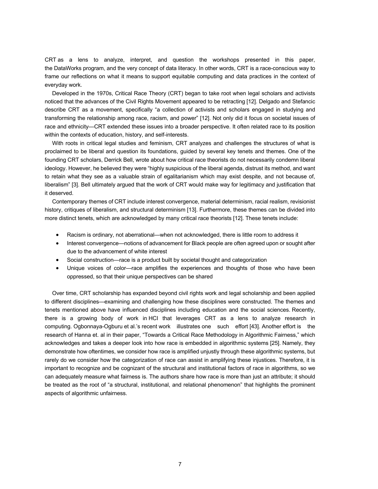CRT as a lens to analyze, interpret, and question the workshops presented in this paper, the DataWorks program, and the very concept of data literacy. In other words, CRT is a race-conscious way to frame our reflections on what it means to support equitable computing and data practices in the context of everyday work.

Developed in the 1970s, Critical Race Theory (CRT) began to take root when legal scholars and activists noticed that the advances of the Civil Rights Movement appeared to be retracting [12]. Delgado and Stefancic describe CRT as a movement, specifically "a collection of activists and scholars engaged in studying and transforming the relationship among race, racism, and power" [12]. Not only did it focus on societal issues of race and ethnicity—CRT extended these issues into a broader perspective. It often related race to its position within the contexts of education, history, and self-interests.

With roots in critical legal studies and feminism, CRT analyzes and challenges the structures of what is proclaimed to be liberal and question its foundations, guided by several key tenets and themes. One of the founding CRT scholars, Derrick Bell, wrote about how critical race theorists do not necessarily condemn liberal ideology. However, he believed they were "highly suspicious of the liberal agenda, distrust its method, and want to retain what they see as a valuable strain of egalitarianism which may exist despite, and not because of, liberalism" [3]. Bell ultimately argued that the work of CRT would make way for legitimacy and justification that it deserved.

Contemporary themes of CRT include interest convergence, material determinism, racial realism, revisionist history, critiques of liberalism, and structural determinism [13]. Furthermore, these themes can be divided into more distinct tenets, which are acknowledged by many critical race theorists [12]. These tenets include:

- Racism is ordinary, not aberrational—when not acknowledged, there is little room to address it
- Interest convergence—notions of advancement for Black people are often agreed upon or sought after due to the advancement of white interest
- Social construction—race is a product built by societal thought and categorization
- Unique voices of color—race amplifies the experiences and thoughts of those who have been oppressed, so that their unique perspectives can be shared

Over time, CRT scholarship has expanded beyond civil rights work and legal scholarship and been applied to different disciplines—examining and challenging how these disciplines were constructed. The themes and tenets mentioned above have influenced disciplines including education and the social sciences. Recently, there is a growing body of work in HCI that leverages CRT as a lens to analyze research in computing. Ogbonnaya-Ogburu et al.'s recent work illustrates one such effort [43]. Another effort is the research of Hanna et. al in their paper, "Towards a Critical Race Methodology in Algorithmic Fairness," which acknowledges and takes a deeper look into how race is embedded in algorithmic systems [25]. Namely, they demonstrate how oftentimes, we consider how race is amplified unjustly through these algorithmic systems, but rarely do we consider how the categorization of race can assist in amplifying these injustices. Therefore, it is important to recognize and be cognizant of the structural and institutional factors of race in algorithms, so we can adequately measure what fairness is. The authors share how race is more than just an attribute; it should be treated as the root of "a structural, institutional, and relational phenomenon" that highlights the prominent aspects of algorithmic unfairness.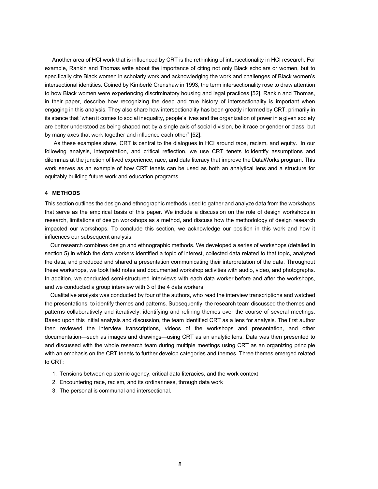Another area of HCI work that is influenced by CRT is the rethinking of intersectionality in HCI research. For example, Rankin and Thomas write about the importance of citing not only Black scholars or women, but to specifically cite Black women in scholarly work and acknowledging the work and challenges of Black women's intersectional identities. Coined by Kimberlé Crenshaw in 1993, the term intersectionality rose to draw attention to how Black women were experiencing discriminatory housing and legal practices [52]. Rankin and Thomas, in their paper, describe how recognizing the deep and true history of intersectionality is important when engaging in this analysis. They also share how intersectionality has been greatly informed by CRT, primarily in its stance that "when it comes to social inequality, people's lives and the organization of power in a given society are better understood as being shaped not by a single axis of social division, be it race or gender or class, but by many axes that work together and influence each other" [52].

As these examples show, CRT is central to the dialogues in HCI around race, racism, and equity. In our following analysis, interpretation, and critical reflection, we use CRT tenets to identify assumptions and dilemmas at the junction of lived experience, race, and data literacy that improve the DataWorks program. This work serves as an example of how CRT tenets can be used as both an analytical lens and a structure for equitably building future work and education programs.

#### **4 METHODS**

This section outlines the design and ethnographic methods used to gather and analyze data from the workshops that serve as the empirical basis of this paper. We include a discussion on the role of design workshops in research, limitations of design workshops as a method, and discuss how the methodology of design research impacted our workshops. To conclude this section, we acknowledge our position in this work and how it influences our subsequent analysis.

Our research combines design and ethnographic methods. We developed a series of workshops (detailed in section 5) in which the data workers identified a topic of interest, collected data related to that topic, analyzed the data, and produced and shared a presentation communicating their interpretation of the data. Throughout these workshops, we took field notes and documented workshop activities with audio, video, and photographs. In addition, we conducted semi-structured interviews with each data worker before and after the workshops, and we conducted a group interview with 3 of the 4 data workers.

Qualitative analysis was conducted by four of the authors, who read the interview transcriptions and watched the presentations, to identify themes and patterns. Subsequently, the research team discussed the themes and patterns collaboratively and iteratively, identifying and refining themes over the course of several meetings. Based upon this initial analysis and discussion, the team identified CRT as a lens for analysis. The first author then reviewed the interview transcriptions, videos of the workshops and presentation, and other documentation—such as images and drawings—using CRT as an analytic lens. Data was then presented to and discussed with the whole research team during multiple meetings using CRT as an organizing principle with an emphasis on the CRT tenets to further develop categories and themes. Three themes emerged related to CRT:

- 1. Tensions between epistemic agency, critical data literacies, and the work context
- 2. Encountering race, racism, and its ordinariness, through data work
- 3. The personal is communal and intersectional.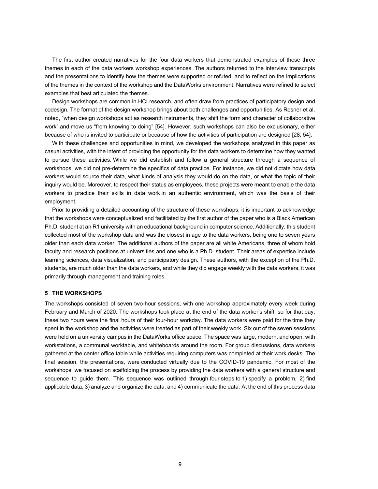The first author created narratives for the four data workers that demonstrated examples of these three themes in each of the data workers workshop experiences. The authors returned to the interview transcripts and the presentations to identify how the themes were supported or refuted, and to reflect on the implications of the themes in the context of the workshop and the DataWorks environment. Narratives were refined to select examples that best articulated the themes.

Design workshops are common in HCI research, and often draw from practices of participatory design and codesign. The format of the design workshop brings about both challenges and opportunities. As Rosner et al. noted, "when design workshops act as research instruments, they shift the form and character of collaborative work" and move us "from knowing to doing" [54]. However, such workshops can also be exclusionary, either because of who is invited to participate or because of how the activities of participation are designed [28, 54].

With these challenges and opportunities in mind, we developed the workshops analyzed in this paper as casual activities, with the intent of providing the opportunity for the data workers to determine how they wanted to pursue these activities. While we did establish and follow a general structure through a sequence of workshops, we did not pre-determine the specifics of data practice. For instance, we did not dictate how data workers would source their data, what kinds of analysis they would do on the data, or what the topic of their inquiry would be. Moreover, to respect their status as employees, these projects were meant to enable the data workers to practice their skills in data work in an authentic environment, which was the basis of their employment.

Prior to providing a detailed accounting of the structure of these workshops, it is important to acknowledge that the workshops were conceptualized and facilitated by the first author of the paper who is a Black American Ph.D. student at an R1 university with an educational background in computer science. Additionally, this student collected most of the workshop data and was the closest in age to the data workers, being one to seven years older than each data worker. The additional authors of the paper are all white Americans, three of whom hold faculty and research positions at universities and one who is a Ph.D. student. Their areas of expertise include learning sciences, data visualization, and participatory design. These authors, with the exception of the Ph.D. students, are much older than the data workers, and while they did engage weekly with the data workers, it was primarily through management and training roles.

#### **5 THE WORKSHOPS**

The workshops consisted of seven two-hour sessions, with one workshop approximately every week during February and March of 2020. The workshops took place at the end of the data worker's shift, so for that day, these two hours were the final hours of their four-hour workday. The data workers were paid for the time they spent in the workshop and the activities were treated as part of their weekly work. Six out of the seven sessions were held on a university campus in the DataWorks office space. The space was large, modern, and open, with workstations, a communal worktable, and whiteboards around the room. For group discussions, data workers gathered at the center office table while activities requiring computers was completed at their work desks. The final session, the presentations, were conducted virtually due to the COVID-19 pandemic. For most of the workshops, we focused on scaffolding the process by providing the data workers with a general structure and sequence to guide them. This sequence was outlined through four steps to 1) specify a problem, 2) find applicable data, 3) analyze and organize the data, and 4) communicate the data. At the end of this process data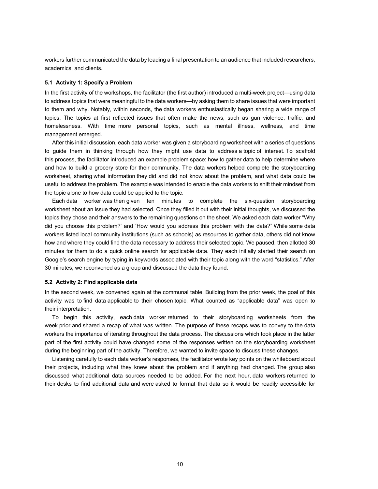workers further communicated the data by leading a final presentation to an audience that included researchers, academics, and clients.

#### **5.1 Activity 1: Specify a Problem**

In the first activity of the workshops, the facilitator (the first author) introduced a multi-week project—using data to address topics that were meaningful to the data workers—by asking them to share issues that were important to them and why. Notably, within seconds, the data workers enthusiastically began sharing a wide range of topics. The topics at first reflected issues that often make the news, such as gun violence, traffic, and homelessness. With time, more personal topics, such as mental illness, wellness, and time management emerged.

After this initial discussion, each data worker was given a storyboarding worksheet with a series of questions to guide them in thinking through how they might use data to address a topic of interest. To scaffold this process, the facilitator introduced an example problem space: how to gather data to help determine where and how to build a grocery store for their community. The data workers helped complete the storyboarding worksheet, sharing what information they did and did not know about the problem, and what data could be useful to address the problem. The example was intended to enable the data workers to shift their mindset from the topic alone to how data could be applied to the topic.

Each data worker was then given ten minutes to complete the six-question storyboarding worksheet about an issue they had selected. Once they filled it out with their initial thoughts, we discussed the topics they chose and their answers to the remaining questions on the sheet. We asked each data worker "Why did you choose this problem?" and "How would you address this problem with the data?" While some data workers listed local community institutions (such as schools) as resources to gather data, others did not know how and where they could find the data necessary to address their selected topic. We paused, then allotted 30 minutes for them to do a quick online search for applicable data. They each initially started their search on Google's search engine by typing in keywords associated with their topic along with the word "statistics." After 30 minutes, we reconvened as a group and discussed the data they found.

#### **5.2 Activity 2: Find applicable data**

In the second week, we convened again at the communal table. Building from the prior week, the goal of this activity was to find data applicable to their chosen topic. What counted as "applicable data" was open to their interpretation.

To begin this activity, each data worker returned to their storyboarding worksheets from the week prior and shared a recap of what was written. The purpose of these recaps was to convey to the data workers the importance of iterating throughout the data process. The discussions which took place in the latter part of the first activity could have changed some of the responses written on the storyboarding worksheet during the beginning part of the activity. Therefore, we wanted to invite space to discuss these changes.

Listening carefully to each data worker's responses, the facilitator wrote key points on the whiteboard about their projects, including what they knew about the problem and if anything had changed. The group also discussed what additional data sources needed to be added. For the next hour, data workers returned to their desks to find additional data and were asked to format that data so it would be readily accessible for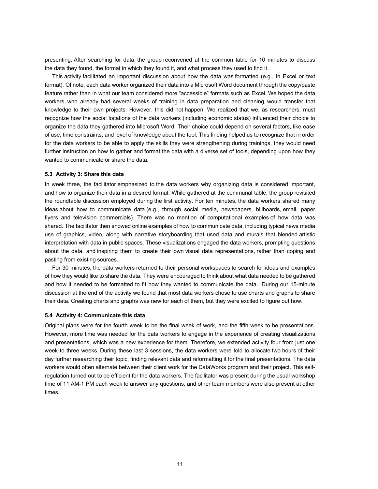presenting. After searching for data, the group reconvened at the common table for 10 minutes to discuss the data they found, the format in which they found it, and what process they used to find it.

This activity facilitated an important discussion about how the data was formatted (e.g., in Excel or text format). Of note, each data worker organized their data into a Microsoft Word document through the copy/paste feature rather than in what our team considered more "accessible" formats such as Excel. We hoped the data workers, who already had several weeks of training in data preparation and cleaning, would transfer that knowledge to their own projects. However, this did not happen. We realized that we, as researchers, must recognize how the social locations of the data workers (including economic status) influenced their choice to organize the data they gathered into Microsoft Word. Their choice could depend on several factors, like ease of use, time constraints, and level of knowledge about the tool. This finding helped us to recognize that in order for the data workers to be able to apply the skills they were strengthening during trainings, they would need further instruction on how to gather and format the data with a diverse set of tools, depending upon how they wanted to communicate or share the data.

#### **5.3 Activity 3: Share this data**

In week three, the facilitator emphasized to the data workers why organizing data is considered important, and how to organize their data in a desired format. While gathered at the communal table, the group revisited the roundtable discussion employed during the first activity. For ten minutes, the data workers shared many ideas about how to communicate data (e.g., through social media, newspapers, billboards, email, paper flyers, and television commercials). There was no mention of computational examples of how data was shared. The facilitator then showed online examples of how to communicate data, including typical news media use of graphics, video, along with narrative storyboarding that used data and murals that blended artistic interpretation with data in public spaces. These visualizations engaged the data workers, prompting questions about the data, and inspiring them to create their own visual data representations, rather than coping and pasting from existing sources.

For 30 minutes, the data workers returned to their personal workspaces to search for ideas and examples of how they would like to share the data. They were encouraged to think about what data needed to be gathered and how it needed to be formatted to fit how they wanted to communicate the data. During our 15-minute discussion at the end of the activity we found that most data workers chose to use charts and graphs to share their data. Creating charts and graphs was new for each of them, but they were excited to figure out how.

#### **5.4 Activity 4: Communicate this data**

Original plans were for the fourth week to be the final week of work, and the fifth week to be presentations. However, more time was needed for the data workers to engage in the experience of creating visualizations and presentations, which was a new experience for them. Therefore, we extended activity four from just one week to three weeks. During these last 3 sessions, the data workers were told to allocate two hours of their day further researching their topic, finding relevant data and reformatting it for the final presentations. The data workers would often alternate between their client work for the DataWorks program and their project. This selfregulation turned out to be efficient for the data workers. The facilitator was present during the usual workshop time of 11 AM-1 PM each week to answer any questions, and other team members were also present at other times.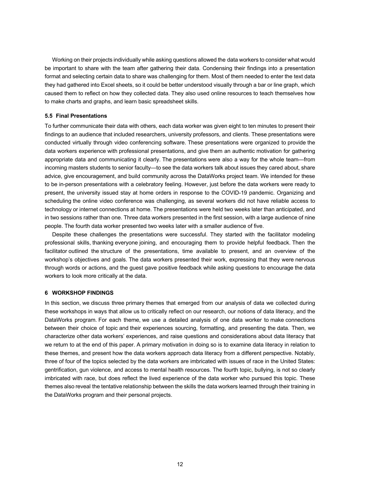Working on their projects individually while asking questions allowed the data workers to consider what would be important to share with the team after gathering their data. Condensing their findings into a presentation format and selecting certain data to share was challenging for them. Most of them needed to enter the text data they had gathered into Excel sheets, so it could be better understood visually through a bar or line graph, which caused them to reflect on how they collected data. They also used online resources to teach themselves how to make charts and graphs, and learn basic spreadsheet skills.

#### **5.5 Final Presentations**

To further communicate their data with others, each data worker was given eight to ten minutes to present their findings to an audience that included researchers, university professors, and clients. These presentations were conducted virtually through video conferencing software. These presentations were organized to provide the data workers experience with professional presentations, and give them an authentic motivation for gathering appropriate data and communicating it clearly. The presentations were also a way for the whole team—from incoming masters students to senior faculty—to see the data workers talk about issues they cared about, share advice, give encouragement, and build community across the DataWorks project team. We intended for these to be in-person presentations with a celebratory feeling. However, just before the data workers were ready to present, the university issued stay at home orders in response to the COVID-19 pandemic. Organizing and scheduling the online video conference was challenging, as several workers did not have reliable access to technology or internet connections at home. The presentations were held two weeks later than anticipated, and in two sessions rather than one. Three data workers presented in the first session, with a large audience of nine people. The fourth data worker presented two weeks later with a smaller audience of five.

Despite these challenges the presentations were successful. They started with the facilitator modeling professional skills, thanking everyone joining, and encouraging them to provide helpful feedback. Then the facilitator outlined the structure of the presentations, time available to present, and an overview of the workshop's objectives and goals. The data workers presented their work, expressing that they were nervous through words or actions, and the guest gave positive feedback while asking questions to encourage the data workers to look more critically at the data.

#### **6 WORKSHOP FINDINGS**

In this section, we discuss three primary themes that emerged from our analysis of data we collected during these workshops in ways that allow us to critically reflect on our research, our notions of data literacy, and the DataWorks program. For each theme, we use a detailed analysis of one data worker to make connections between their choice of topic and their experiences sourcing, formatting, and presenting the data. Then, we characterize other data workers' experiences, and raise questions and considerations about data literacy that we return to at the end of this paper. A primary motivation in doing so is to examine data literacy in relation to these themes, and present how the data workers approach data literacy from a different perspective. Notably, three of four of the topics selected by the data workers are imbricated with issues of race in the United States: gentrification, gun violence, and access to mental health resources. The fourth topic, bullying, is not so clearly imbricated with race, but does reflect the lived experience of the data worker who pursued this topic. These themes also reveal the tentative relationship between the skills the data workers learned through their training in the DataWorks program and their personal projects.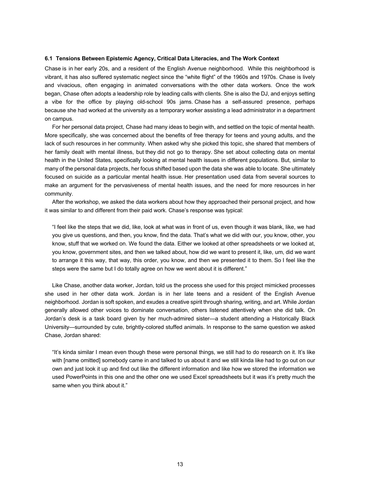#### **6.1 Tensions Between Epistemic Agency, Critical Data Literacies, and The Work Context**

Chase is in her early 20s, and a resident of the English Avenue neighborhood. While this neighborhood is vibrant, it has also suffered systematic neglect since the "white flight" of the 1960s and 1970s. Chase is lively and vivacious, often engaging in animated conversations with the other data workers. Once the work began, Chase often adopts a leadership role by leading calls with clients. She is also the DJ, and enjoys setting a vibe for the office by playing old-school 90s jams. Chase has a self-assured presence, perhaps because she had worked at the university as a temporary worker assisting a lead administrator in a department on campus.

For her personal data project, Chase had many ideas to begin with, and settled on the topic of mental health. More specifically, she was concerned about the benefits of free therapy for teens and young adults, and the lack of such resources in her community. When asked why she picked this topic, she shared that members of her family dealt with mental illness, but they did not go to therapy. She set about collecting data on mental health in the United States, specifically looking at mental health issues in different populations. But, similar to many of the personal data projects, her focus shifted based upon the data she was able to locate. She ultimately focused on suicide as a particular mental health issue. Her presentation used data from several sources to make an argument for the pervasiveness of mental health issues, and the need for more resources in her community.

After the workshop, we asked the data workers about how they approached their personal project, and how it was similar to and different from their paid work. Chase's response was typical:

"I feel like the steps that we did, like, look at what was in front of us, even though it was blank, like, we had you give us questions, and then, you know, find the data. That's what we did with our, you know, other, you know, stuff that we worked on. We found the data. Either we looked at other spreadsheets or we looked at, you know, government sites, and then we talked about, how did we want to present it, like, um, did we want to arrange it this way, that way, this order, you know, and then we presented it to them. So I feel like the steps were the same but I do totally agree on how we went about it is different."

Like Chase, another data worker, Jordan, told us the process she used for this project mimicked processes she used in her other data work. Jordan is in her late teens and a resident of the English Avenue neighborhood. Jordan is soft spoken, and exudes a creative spirit through sharing, writing, and art. While Jordan generally allowed other voices to dominate conversation, others listened attentively when she did talk. On Jordan's desk is a task board given by her much-admired sister—a student attending a Historically Black University—surrounded by cute, brightly-colored stuffed animals. In response to the same question we asked Chase, Jordan shared:

"It's kinda similar I mean even though these were personal things, we still had to do research on it. It's like with [name omitted] somebody came in and talked to us about it and we still kinda like had to go out on our own and just look it up and find out like the different information and like how we stored the information we used PowerPoints in this one and the other one we used Excel spreadsheets but it was it's pretty much the same when you think about it."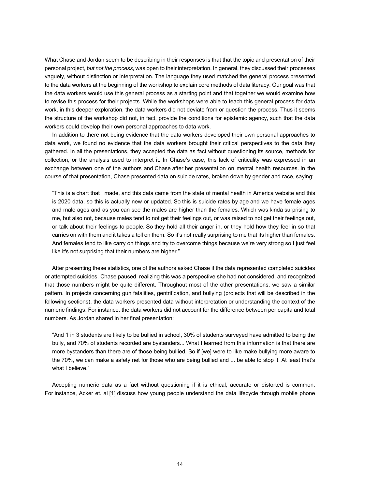What Chase and Jordan seem to be describing in their responses is that that the topic and presentation of their personal project, *but not the process*, was open to their interpretation. In general, they discussed their processes vaguely, without distinction or interpretation. The language they used matched the general process presented to the data workers at the beginning of the workshop to explain core methods of data literacy. Our goal was that the data workers would use this general process as a starting point and that together we would examine how to revise this process for their projects. While the workshops were able to teach this general process for data work, in this deeper exploration, the data workers did not deviate from or question the process. Thus it seems the structure of the workshop did not, in fact, provide the conditions for epistemic agency, such that the data workers could develop their own personal approaches to data work.

In addition to there not being evidence that the data workers developed their own personal approaches to data work, we found no evidence that the data workers brought their critical perspectives to the data they gathered. In all the presentations, they accepted the data as fact without questioning its source, methods for collection, or the analysis used to interpret it. In Chase's case, this lack of criticality was expressed in an exchange between one of the authors and Chase after her presentation on mental health resources. In the course of that presentation, Chase presented data on suicide rates, broken down by gender and race, saying:

"This is a chart that I made, and this data came from the state of mental health in America website and this is 2020 data, so this is actually new or updated. So this is suicide rates by age and we have female ages and male ages and as you can see the males are higher than the females. Which was kinda surprising to me, but also not, because males tend to not get their feelings out, or was raised to not get their feelings out, or talk about their feelings to people. So they hold all their anger in, or they hold how they feel in so that carries on with them and it takes a toll on them. So it's not really surprising to me that its higher than females. And females tend to like carry on things and try to overcome things because we're very strong so I just feel like it's not surprising that their numbers are higher."

After presenting these statistics, one of the authors asked Chase if the data represented completed suicides or attempted suicides. Chase paused, realizing this was a perspective she had not considered, and recognized that those numbers might be quite different. Throughout most of the other presentations, we saw a similar pattern. In projects concerning gun fatalities, gentrification, and bullying (projects that will be described in the following sections), the data workers presented data without interpretation or understanding the context of the numeric findings. For instance, the data workers did not account for the difference between per capita and total numbers. As Jordan shared in her final presentation:

"And 1 in 3 students are likely to be bullied in school, 30% of students surveyed have admitted to being the bully, and 70% of students recorded are bystanders... What I learned from this information is that there are more bystanders than there are of those being bullied. So if [we] were to like make bullying more aware to the 70%, we can make a safety net for those who are being bullied and ... be able to stop it. At least that's what I believe."

Accepting numeric data as a fact without questioning if it is ethical, accurate or distorted is common. For instance, Acker et. al [1] discuss how young people understand the data lifecycle through mobile phone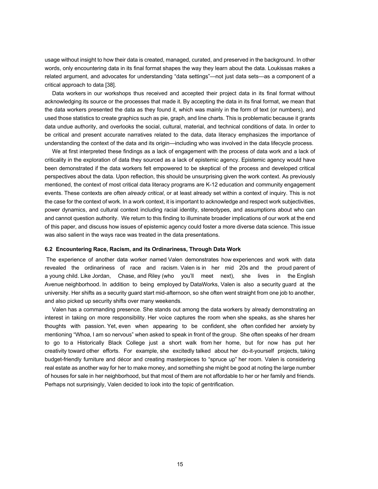usage without insight to how their data is created, managed, curated, and preserved in the background. In other words, only encountering data in its final format shapes the way they learn about the data. Loukissas makes a related argument, and advocates for understanding "data settings"—not just data sets—as a component of a critical approach to data [38].

Data workers in our workshops thus received and accepted their project data in its final format without acknowledging its source or the processes that made it. By accepting the data in its final format, we mean that the data workers presented the data as they found it, which was mainly in the form of text (or numbers), and used those statistics to create graphics such as pie, graph, and line charts. This is problematic because it grants data undue authority, and overlooks the social, cultural, material, and technical conditions of data. In order to be critical and present accurate narratives related to the data, data literacy emphasizes the importance of understanding the context of the data and its origin—including who was involved in the data lifecycle process.

We at first interpreted these findings as a lack of engagement with the process of data work and a lack of criticality in the exploration of data they sourced as a lack of epistemic agency. Epistemic agency would have been demonstrated if the data workers felt empowered to be skeptical of the process and developed critical perspectives about the data. Upon reflection, this should be unsurprising given the work context. As previously mentioned, the context of most critical data literacy programs are K-12 education and community engagement events. These contexts are often *already critical*, or at least already set within a context of inquiry. This is not the case for the context of work. In a work context, it is important to acknowledge and respect work subjectivities, power dynamics, and cultural context including racial identity, stereotypes, and assumptions about who can and cannot question authority. We return to this finding to illuminate broader implications of our work at the end of this paper, and discuss how issues of epistemic agency could foster a more diverse data science. This issue was also salient in the ways race was treated in the data presentations.

#### **6.2 Encountering Race, Racism, and its Ordinariness, Through Data Work**

The experience of another data worker named Valen demonstrates how experiences and work with data revealed the ordinariness of race and racism. Valen is in her mid 20s and the proud parent of a young child. Like Jordan, Chase, and Riley (who you'll meet next), she lives in the English Avenue neighborhood. In addition to being employed by DataWorks, Valen is also a security guard at the university. Her shifts as a security guard start mid-afternoon, so she often went straight from one job to another, and also picked up security shifts over many weekends.

Valen has a commanding presence. She stands out among the data workers by already demonstrating an interest in taking on more responsibility. Her voice captures the room when she speaks, as she shares her thoughts with passion. Yet, even when appearing to be confident, she often confided her anxiety by mentioning "Whoa, I am so nervous" when asked to speak in front of the group. She often speaks of her dream to go to a Historically Black College just a short walk from her home, but for now has put her creativity toward other efforts. For example, she excitedly talked about her do-it-yourself projects, taking budget-friendly furniture and décor and creating masterpieces to "spruce up" her room. Valen is considering real estate as another way for her to make money, and something she might be good at noting the large number of houses for sale in her neighborhood, but that most of them are not affordable to her or her family and friends. Perhaps not surprisingly, Valen decided to look into the topic of gentrification.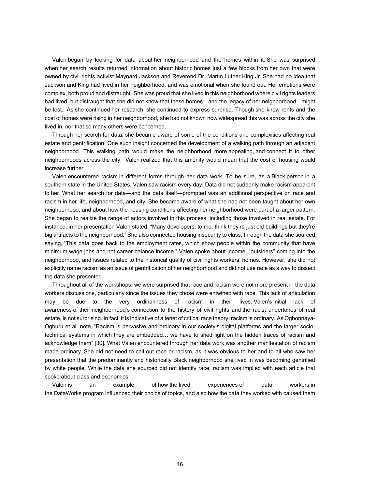Valen began by looking for data about her neighborhood and the homes within it. She was surprised when her search results returned information about historic homes just a few blocks from her own that were owned by civil rights activist Maynard Jackson and Reverend Dr. Martin Luther King Jr. She had no idea that Jackson and King had lived in her neighborhood, and was emotional when she found out. Her emotions were complex, both proud and distraught. She was proud that she lived in this neighborhood where civil rights leaders had lived, but distraught that she did not know that these homes—and the legacy of her neighborhood—might be lost. As she continued her research, she continued to express surprise. Though she knew rents and the cost of homes were rising in her neighborhood, she had not known how widespread this was across the city she lived in, nor that so many others were concerned.

Through her search for data, she became aware of some of the conditions and complexities affecting real estate and gentrification. One such insight concerned the development of a walking path through an adjacent neighborhood. This walking path would make the neighborhood more appealing, and connect it to other neighborhoods across the city. Valen realized that this amenity would mean that the cost of housing would increase further.

Valen encountered racism in different forms through her data work. To be sure, as a Black person in a southern state in the United States, Valen saw racism every day. Data did not suddenly make racism apparent to her. What her search for data—and the data itself—prompted was an additional perspective on race and racism in her life, neighborhood, and city. She became aware of what she had not been taught about her own neighborhood, and about how the housing conditions affecting her neighborhood were part of a larger pattern. She began to realize the range of actors involved in this process, including those involved in real estate. For instance, in her presentation Valen stated, "Many developers, to me, think they're just old buildings but they're big artifacts to the neighborhood." She also connected housing insecurity to class, through the data she sourced, saying, "This data goes back to the employment rates, which show people within the community that have minimum wage jobs and not career balance income." Valen spoke about income, "outsiders" coming into the neighborhood, and issues related to the historical quality of civil rights workers' homes. However, she did not explicitly name racism as an issue of gentrification of her neighborhood and did not use race as a way to dissect the data she presented.

Throughout all of the workshops, we were surprised that race and racism were not more present in the data workers discussions, particularly since the issues they chose were entwined with race. This lack of articulation may be due to the very ordinariness of racism in their lives. Valen's initial lack awareness of their neighborhood's connection to the history of civil rights and the racist undertones of real estate, is not surprising. In fact, it is indicative of a tenet of critical race theory: racism is ordinary. As Ogbonnaya-Ogburu et al. note, "Racism is pervasive and ordinary in our society's digital platforms and the larger sociotechnical systems in which they are embedded… we have to shed light on the hidden traces of racism and acknowledge them" [30]. What Valen encountered through her data work was another manifestation of racism made ordinary. She did not need to call out race or racism, as it was obvious to her and to all who saw her presentation that the predominantly and historically Black neighborhood she lived in was becoming gentrified by white people. While the data she sourced did not identify race, racism was implied with each article that spoke about class and economics.

Valen is an example of how the lived experiences of data workers in the DataWorks program influenced their choice of topics, and also how the data they worked with caused them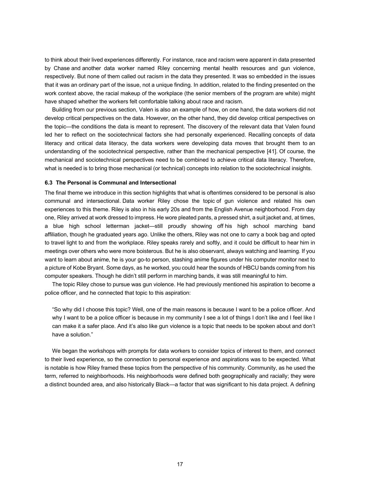to think about their lived experiences differently. For instance, race and racism were apparent in data presented by Chase and another data worker named Riley concerning mental health resources and gun violence, respectively. But none of them called out racism in the data they presented. It was so embedded in the issues that it was an ordinary part of the issue, not a unique finding. In addition, related to the finding presented on the work context above, the racial makeup of the workplace (the senior members of the program are white) might have shaped whether the workers felt comfortable talking about race and racism.

Building from our previous section, Valen is also an example of how, on one hand, the data workers did not develop critical perspectives on the data. However, on the other hand, they did develop critical perspectives on the topic—the conditions the data is meant to represent. The discovery of the relevant data that Valen found led her to reflect on the sociotechnical factors she had personally experienced. Recalling concepts of data literacy and critical data literacy, the data workers were developing data moves that brought them to an understanding of the sociotechnical perspective, rather than the mechanical perspective [41]. Of course, the mechanical and sociotechnical perspectives need to be combined to achieve critical data literacy. Therefore, what is needed is to bring those mechanical (or technical) concepts into relation to the sociotechnical insights.

#### **6.3 The Personal is Communal and Intersectional**

The final theme we introduce in this section highlights that what is oftentimes considered to be personal is also communal and intersectional. Data worker Riley chose the topic of gun violence and related his own experiences to this theme. Riley is also in his early 20s and from the English Avenue neighborhood. From day one, Riley arrived at work dressed to impress. He wore pleated pants, a pressed shirt, a suit jacket and, at times, a blue high school letterman jacket—still proudly showing off his high school marching band affiliation, though he graduated years ago. Unlike the others, Riley was not one to carry a book bag and opted to travel light to and from the workplace. Riley speaks rarely and softly, and it could be difficult to hear him in meetings over others who were more boisterous. But he is also observant, always watching and learning. If you want to learn about anime, he is your go-to person, stashing anime figures under his computer monitor next to a picture of Kobe Bryant. Some days, as he worked, you could hear the sounds of HBCU bands coming from his computer speakers. Though he didn't still perform in marching bands, it was still meaningful to him.

The topic Riley chose to pursue was gun violence. He had previously mentioned his aspiration to become a police officer, and he connected that topic to this aspiration:

"So why did I choose this topic? Well, one of the main reasons is because I want to be a police officer. And why I want to be a police officer is because in my community I see a lot of things I don't like and I feel like I can make it a safer place. And it's also like gun violence is a topic that needs to be spoken about and don't have a solution."

We began the workshops with prompts for data workers to consider topics of interest to them, and connect to their lived experience, so the connection to personal experience and aspirations was to be expected. What is notable is how Riley framed these topics from the perspective of his community. Community, as he used the term, referred to neighborhoods. His neighborhoods were defined both geographically and racially; they were a distinct bounded area, and also historically Black—a factor that was significant to his data project. A defining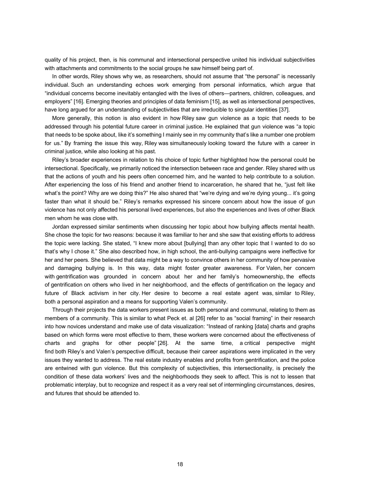quality of his project, then, is his communal and intersectional perspective united his individual subjectivities with attachments and commitments to the social groups he saw himself being part of.

In other words, Riley shows why we, as researchers, should not assume that "the personal" is necessarily individual. Such an understanding echoes work emerging from personal informatics, which argue that "individual concerns become inevitably entangled with the lives of others—partners, children, colleagues, and employers" [16]**.** Emerging theories and principles of data feminism [15], as well as intersectional perspectives, have long argued for an understanding of subjectivities that are irreducible to singular identities [37].

More generally, this notion is also evident in how Riley saw gun violence as a topic that needs to be addressed through his potential future career in criminal justice. He explained that gun violence was "a topic that needs to be spoke about, like it's something I mainly see in my community that's like a number one problem for us." By framing the issue this way, Riley was simultaneously looking toward the future with a career in criminal justice, while also looking at his past.

Riley's broader experiences in relation to his choice of topic further highlighted how the personal could be intersectional. Specifically, we primarily noticed the intersection between race and gender. Riley shared with us that the actions of youth and his peers often concerned him, and he wanted to help contribute to a solution. After experiencing the loss of his friend and another friend to incarceration, he shared that he, "just felt like what's the point? Why are we doing this?" He also shared that "we're dying and we're dying young... it's going faster than what it should be." Riley's remarks expressed his sincere concern about how the issue of gun violence has not only affected his personal lived experiences, but also the experiences and lives of other Black men whom he was close with.

Jordan expressed similar sentiments when discussing her topic about how bullying affects mental health. She chose the topic for two reasons: because it was familiar to her and she saw that existing efforts to address the topic were lacking. She stated, "I knew more about [bullying] than any other topic that I wanted to do so that's why I chose it." She also described how, in high school, the anti-bullying campaigns were ineffective for her and her peers. She believed that data might be a way to convince others in her community of how pervasive and damaging bullying is. In this way, data might foster greater awareness. For Valen, her concern with gentrification was grounded in concern about her and her family's homeownership, the effects of gentrification on others who lived in her neighborhood, and the effects of gentrification on the legacy and future of Black activism in her city. Her desire to become a real estate agent was, similar to Riley, both a personal aspiration and a means for supporting Valen's community.

Through their projects the data workers present issues as both personal and communal, relating to them as members of a community. This is similar to what Peck et. al [26] refer to as "social framing" in their research into how novices understand and make use of data visualization: "Instead of ranking [data] charts and graphs based on which forms were most effective to them, these workers were concerned about the effectiveness of charts and graphs for other people" [26]. At the same time, a critical perspective might find both Riley's and Valen's perspective difficult, because their career aspirations were implicated in the very issues they wanted to address. The real estate industry enables and profits from gentrification, and the police are entwined with gun violence. But this complexity of subjectivities, this intersectionality, is precisely the condition of these data workers' lives and the neighborhoods they seek to affect. This is not to lessen that problematic interplay, but to recognize and respect it as a very real set of intermingling circumstances, desires, and futures that should be attended to.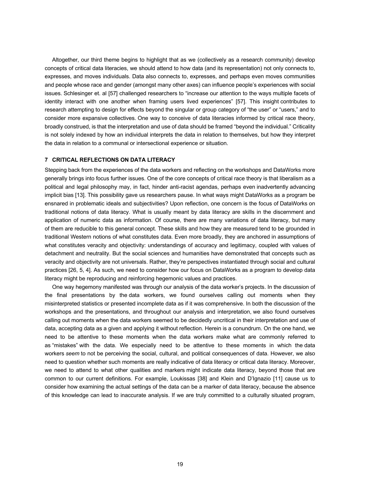Altogether, our third theme begins to highlight that as we (collectively as a research community) develop concepts of critical data literacies, we should attend to how data (and its representation) not only connects to, expresses, and moves individuals. Data also connects to, expresses, and perhaps even moves communities and people whose race and gender (amongst many other axes) can influence people's experiences with social issues. Schlesinger et. al [57] challenged researchers to "increase our attention to the ways multiple facets of identity interact with one another when framing users lived experiences" [57]. This insight contributes to research attempting to design for effects beyond the singular or group category of "the user" or "users," and to consider more expansive collectives. One way to conceive of data literacies informed by critical race theory, broadly construed, is that the interpretation and use of data should be framed "beyond the individual." Criticality is not solely indexed by how an individual interprets the data in relation to themselves, but how they interpret the data in relation to a communal or intersectional experience or situation.

#### **7 CRITICAL REFLECTIONS ON DATA LITERACY**

Stepping back from the experiences of the data workers and reflecting on the workshops and DataWorks more generally brings into focus further issues. One of the core concepts of critical race theory is that liberalism as a political and legal philosophy may, in fact, hinder anti-racist agendas, perhaps even inadvertently advancing implicit bias [13]. This possibility gave us researchers pause. In what ways might DataWorks as a program be ensnared in problematic ideals and subjectivities? Upon reflection, one concern is the focus of DataWorks on traditional notions of data literacy. What is usually meant by data literacy are skills in the discernment and application of numeric data as information. Of course, there are many variations of data literacy, but many of them are reducible to this general concept. These skills and how they are measured tend to be grounded in traditional Western notions of what constitutes data. Even more broadly, they are anchored in assumptions of what constitutes veracity and objectivity: understandings of accuracy and legitimacy, coupled with values of detachment and neutrality. But the social sciences and humanities have demonstrated that concepts such as veracity and objectivity are not universals. Rather, they're perspectives instantiated through social and cultural practices [26, 5, 4]. As such, we need to consider how our focus on DataWorks as a program to develop data literacy might be reproducing and reinforcing hegemonic values and practices.

One way hegemony manifested was through our analysis of the data worker's projects. In the discussion of the final presentations by the data workers, we found ourselves calling out moments when they misinterpreted statistics or presented incomplete data as if it was comprehensive. In both the discussion of the workshops and the presentations, and throughout our analysis and interpretation, we also found ourselves calling out moments when the data workers seemed to be decidedly uncritical in their interpretation and use of data, accepting data as a given and applying it without reflection. Herein is a conundrum. On the one hand, we need to be attentive to these moments when the data workers make what are commonly referred to as "mistakes" with the data. We especially need to be attentive to these moments in which the data workers *seem* to not be perceiving the social, cultural, and political consequences of data. However, we also need to question whether such moments are really indicative of data literacy or critical data literacy. Moreover, we need to attend to what other qualities and markers might indicate data literacy, beyond those that are common to our current definitions. For example, Loukissas [38] and Klein and D'Ignazio [11] cause us to consider how examining the actual settings of the data can be a marker of data literacy, because the absence of this knowledge can lead to inaccurate analysis. If we are truly committed to a culturally situated program,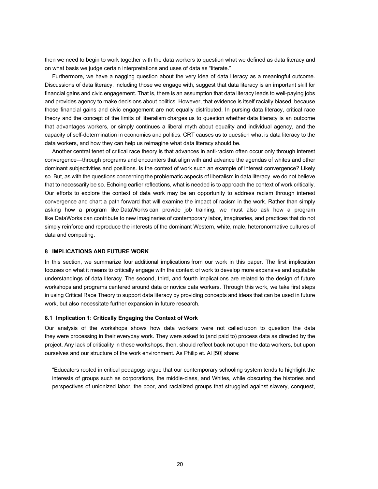then we need to begin to work together with the data workers to question what we defined as data literacy and on what basis we judge certain interpretations and uses of data as "literate."

Furthermore, we have a nagging question about the very idea of data literacy as a meaningful outcome. Discussions of data literacy, including those we engage with, suggest that data literacy is an important skill for financial gains and civic engagement. That is, there is an assumption that data literacy leads to well-paying jobs and provides agency to make decisions about politics. However, that evidence is itself racially biased, because those financial gains and civic engagement are not equally distributed. In pursing data literacy, critical race theory and the concept of the limits of liberalism charges us to question whether data literacy is an outcome that advantages workers, or simply continues a liberal myth about equality and individual agency, and the capacity of self-determination in economics and politics. CRT causes us to question what is data literacy to the data workers, and how they can help us reimagine what data literacy should be.

Another central tenet of critical race theory is that advances in anti-racism often occur only through interest convergence—through programs and encounters that align with and advance the agendas of whites and other dominant subjectivities and positions. Is the context of work such an example of interest convergence? Likely so. But, as with the questions concerning the problematic aspects of liberalism in data literacy, we do not believe that to necessarily be so. Echoing earlier reflections, what is needed is to approach the context of work critically. Our efforts to explore the context of data work may be an opportunity to address racism through interest convergence and chart a path forward that will examine the impact of racism in the work. Rather than simply asking how a program like DataWorks can provide job training, we must also ask how a program like DataWorks can contribute to new imaginaries of contemporary labor, imaginaries, and practices that do not simply reinforce and reproduce the interests of the dominant Western, white, male, heteronormative cultures of data and computing.

### **8 IMPLICATIONS AND FUTURE WORK**

In this section, we summarize four additional implications from our work in this paper. The first implication focuses on what it means to critically engage with the context of work to develop more expansive and equitable understandings of data literacy. The second, third, and fourth implications are related to the design of future workshops and programs centered around data or novice data workers. Through this work, we take first steps in using Critical Race Theory to support data literacy by providing concepts and ideas that can be used in future work, but also necessitate further expansion in future research.

#### **8.1 Implication 1: Critically Engaging the Context of Work**

Our analysis of the workshops shows how data workers were not called upon to question the data they were processing in their everyday work. They were asked to (and paid to) process data as directed by the project. Any lack of criticality in these workshops, then, should reflect back not upon the data workers, but upon ourselves and our structure of the work environment. As Philip et. Al [50] share:

"Educators rooted in critical pedagogy argue that our contemporary schooling system tends to highlight the interests of groups such as corporations, the middle-class, and Whites, while obscuring the histories and perspectives of unionized labor, the poor, and racialized groups that struggled against slavery, conquest,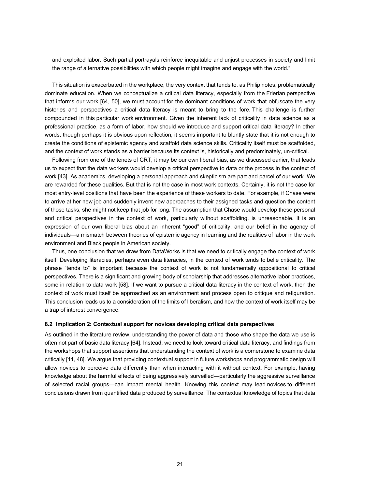and exploited labor. Such partial portrayals reinforce inequitable and unjust processes in society and limit the range of alternative possibilities with which people might imagine and engage with the world."

This situation is exacerbated in the workplace, the very context that tends to, as Philip notes, problematically dominate education. When we conceptualize a critical data literacy, especially from the Frierian perspective that informs our work [64, 50], we must account for the dominant conditions of work that obfuscate the very histories and perspectives a critical data literacy is meant to bring to the fore. This challenge is further compounded in this particular work environment. Given the inherent lack of criticality in data science as a professional practice, as a form of labor, how should we introduce and support critical data literacy? In other words, though perhaps it is obvious upon reflection, it seems important to bluntly state that it is not enough to create the conditions of epistemic agency and scaffold data science skills. Criticality itself must be scaffolded, and the context of work stands as a barrier because its context is, historically and predominately, un-critical.

Following from one of the tenets of CRT, it may be our own liberal bias, as we discussed earlier, that leads us to expect that the data workers would develop a critical perspective to data or the process in the context of work [43]. As academics, developing a personal approach and skepticism are part and parcel of our work. We are rewarded for these qualities. But that is not the case in most work contexts. Certainly, it is not the case for most entry-level positions that have been the experience of these workers to date. For example, if Chase were to arrive at her new job and suddenly invent new approaches to their assigned tasks and question the content of those tasks, she might not keep that job for long. The assumption that Chase would develop these personal and critical perspectives in the context of work, particularly without scaffolding, is unreasonable. It is an expression of our own liberal bias about an inherent "good" of criticality, and our belief in the agency of individuals—a mismatch between theories of epistemic agency in learning and the realities of labor in the work environment and Black people in American society.

Thus, one conclusion that we draw from DataWorks is that we need to critically engage the context of work itself. Developing literacies, perhaps even data literacies, in the context of work tends to belie criticality. The phrase "tends to" is important because the context of work is not fundamentally oppositional to critical perspectives. There is a significant and growing body of scholarship that addresses alternative labor practices, some in relation to data work [58]. If we want to pursue a critical data literacy in the context of work, then the context of work must itself be approached as an environment and process open to critique and refiguration. This conclusion leads us to a consideration of the limits of liberalism, and how the context of work itself may be a trap of interest convergence.

#### **8.2 Implication 2: Contextual support for novices developing critical data perspectives**

As outlined in the literature review, understanding the power of data and those who shape the data we use is often not part of basic data literacy [64]. Instead, we need to look toward critical data literacy, and findings from the workshops that support assertions that understanding the context of work is a cornerstone to examine data critically [11, 48]. We argue that providing contextual support in future workshops and programmatic design will allow novices to perceive data differently than when interacting with it without context. For example, having knowledge about the harmful effects of being aggressively surveilled—particularly the aggressive surveillance of selected racial groups—can impact mental health. Knowing this context may lead novices to different conclusions drawn from quantified data produced by surveillance. The contextual knowledge of topics that data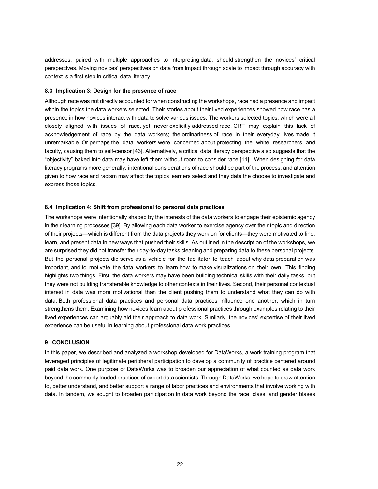addresses, paired with multiple approaches to interpreting data, should strengthen the novices' critical perspectives. Moving novices' perspectives on data from impact through scale to impact through accuracy with context is a first step in critical data literacy.

#### **8.3 Implication 3: Design for the presence of race**

Although race was not directly accounted for when constructing the workshops, race had a presence and impact within the topics the data workers selected. Their stories about their lived experiences showed how race has a presence in how novices interact with data to solve various issues. The workers selected topics, which were all closely aligned with issues of race, yet never explicitly addressed race. CRT may explain this lack of acknowledgement of race by the data workers; the ordinariness of race in their everyday lives made it unremarkable. Or perhaps the data workers were concerned about protecting the white researchers and faculty, causing them to self-censor [43]. Alternatively, a critical data literacy perspective also suggests that the "objectivity" baked into data may have left them without room to consider race [11]. When designing for data literacy programs more generally, intentional considerations of race should be part of the process, and attention given to how race and racism may affect the topics learners select and they data the choose to investigate and express those topics.

#### **8.4 Implication 4: Shift from professional to personal data practices**

The workshops were intentionally shaped by the interests of the data workers to engage their epistemic agency in their learning processes [39]. By allowing each data worker to exercise agency over their topic and direction of their projects—which is different from the data projects they work on for clients—they were motivated to find, learn, and present data in new ways that pushed their skills. As outlined in the description of the workshops, we are surprised they did not transfer their day-to-day tasks cleaning and preparing data to these personal projects. But the personal projects did serve as a vehicle for the facilitator to teach about why data preparation was important, and to motivate the data workers to learn how to make visualizations on their own. This finding highlights two things. First, the data workers may have been building technical skills with their daily tasks, but they were not building transferable knowledge to other contexts in their lives. Second, their personal contextual interest in data was more motivational than the client pushing them to understand what they can do with data. Both professional data practices and personal data practices influence one another, which in turn strengthens them. Examining how novices learn about professional practices through examples relating to their lived experiences can arguably aid their approach to data work. Similarly, the novices' expertise of their lived experience can be useful in learning about professional data work practices.

#### **9 CONCLUSION**

In this paper, we described and analyzed a workshop developed for DataWorks, a work training program that leveraged principles of legitimate peripheral participation to develop a community of practice centered around paid data work. One purpose of DataWorks was to broaden our appreciation of what counted as data work beyond the commonly lauded practices of expert data scientists. Through DataWorks, we hope to draw attention to, better understand, and better support a range of labor practices and environments that involve working with data. In tandem, we sought to broaden participation in data work beyond the race, class, and gender biases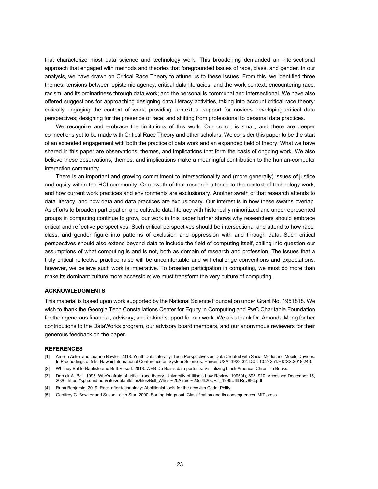that characterize most data science and technology work. This broadening demanded an intersectional approach that engaged with methods and theories that foregrounded issues of race, class, and gender. In our analysis, we have drawn on Critical Race Theory to attune us to these issues. From this, we identified three themes: tensions between epistemic agency, critical data literacies, and the work context; encountering race, racism, and its ordinariness through data work; and the personal is communal and intersectional. We have also offered suggestions for approaching designing data literacy activities, taking into account critical race theory: critically engaging the context of work; providing contextual support for novices developing critical data perspectives; designing for the presence of race; and shifting from professional to personal data practices.

We recognize and embrace the limitations of this work. Our cohort is small, and there are deeper connections yet to be made with Critical Race Theory and other scholars. We consider this paper to be the start of an extended engagement with both the practice of data work and an expanded field of theory. What we have shared in this paper are observations, themes, and implications that form the basis of ongoing work. We also believe these observations, themes, and implications make a meaningful contribution to the human-computer interaction community.

There is an important and growing commitment to intersectionality and (more generally) issues of justice and equity within the HCI community. One swath of that research attends to the context of technology work, and how current work practices and environments are exclusionary. Another swath of that research attends to data literacy, and how data and data practices are exclusionary. Our interest is in how these swaths overlap. As efforts to broaden participation and cultivate data literacy with historically minoritized and underrepresented groups in computing continue to grow, our work in this paper further shows why researchers should embrace critical and reflective perspectives. Such critical perspectives should be intersectional and attend to how race, class, and gender figure into patterns of exclusion and oppression with and through data. Such critical perspectives should also extend beyond data to include the field of computing itself, calling into question our assumptions of what computing is and is not, both as domain of research and profession. The issues that a truly critical reflective practice raise will be uncomfortable and will challenge conventions and expectations; however, we believe such work is imperative. To broaden participation in computing, we must do more than make its dominant culture more accessible; we must transform the very culture of computing.

#### **ACKNOWLEDGMENTS**

This material is based upon work supported by the National Science Foundation under Grant No. 1951818. We wish to thank the Georgia Tech Constellations Center for Equity in Computing and PwC Charitable Foundation for their generous financial, advisory, and in-kind support for our work. We also thank Dr. Amanda Meng for her contributions to the DataWorks program, our advisory board members, and our anonymous reviewers for their generous feedback on the paper.

#### **REFERENCES**

- [1] Amelia Acker and Leanne Bowler. 2018. Youth Data Literacy: Teen Perspectives on Data Created with Social Media and Mobile Devices. In Proceedings of 51st Hawaii International Conference on System Sciences. Hawaii, USA, 1923-32. DOI: 10.24251/HICSS.2018.243.
- [2] Whitney Battle-Baptiste and Britt Rusert. 2018. WEB Du Bois's data portraits: Visualizing black America. Chronicle Books.
- [3] Derrick A. Bell. 1995. Who's afraid of critical race theory. University of Illinois Law Review, 1995(4), 893–910. Accessed December 15, 2020. https://sph.umd.edu/sites/default/files/files/Bell\_Whos%20Afraid%20of%20CRT\_1995UIllLRev893.pdf
- [4] Ruha Benjamin. 2019. Race after technology: Abolitionist tools for the new Jim Code. Polity.
- [5] Geoffrey C. Bowker and Susan Leigh Star. 2000. Sorting things out: Classification and its consequences. MIT press.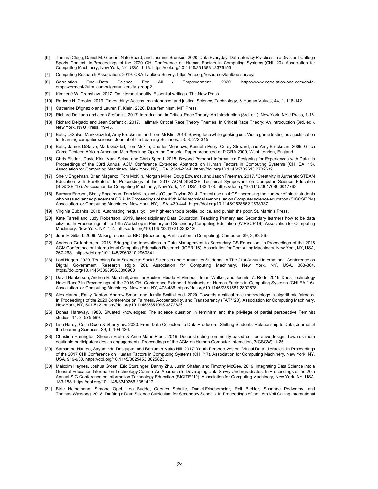- [6] Tamara Clegg, Daniel M. Greene, Nate Beard, and Jasmine Brunson. 2020. Data Everyday: Data Literacy Practices in a Division I College Sports Context. In Proceedings of the 2020 CHI Conference on Human Factors in Computing Systems (CHI '20). Association for Computing Machinery, New York, NY, USA, 1-13. https://doi.org/10.1145/3313831.3376153
- [7] Computing Research Association. 2019. CRA Taulbee Survey. https://cra.org/resources/taulbee-survey/
- [8] Correlation One—Data Science For All / Empowerment. 2020. https://www.correlation-one.com/ds4aempowerment/?utm\_campaign=university\_group2
- Kimberlé W. Crenshaw. 2017. On intersectionality: Essential writings. The New Press.
- [10] Roderic N. Crooks. 2019. Times thirty: Access, maintenance, and justice. Science, Technology, & Human Values, 44, 1, 118-142.
- [11] Catherine D'Ignazio and Lauren F. Klein. 2020. Data feminism. MIT Press.
- [12] Richard Delgado and Jean Stefancic. 2017. Introduction. In Critical Race Theory: An Introduction (3rd. ed.). New York, NYU Press, 1-18.
- [13] Richard Delgado and Jean Stefancic. 2017. Hallmark Critical Race Theory Themes. In Critical Race Theory: An Introduction (3rd. ed.). New York, NYU Press, 19-43.
- [14] Betsy DiSalvo, Mark Guzdial, Amy Bruckman, and Tom McKlin. 2014. Saving face while geeking out: Video game testing as a justification for learning computer science. Journal of the Learning Sciences, 23, 3, 272-315.
- [15] Betsy James DiSalvo, Mark Guzdail, Tom Mcklin, Charles Meadows, Kenneth Perry, Corey Steward, and Amy Bruckman. 2009. Glitch Game Testers: African American Men Breaking Open the Console. Paper presented at DiGRA 2009, West London, England.
- [16] Chris Elsden, David Kirk, Mark Selby, and Chris Speed. 2015. Beyond Personal Informatics: Designing for Experiences with Data. In Proceedings of the 33rd Annual ACM Conference Extended Abstracts on Human Factors in Computing Systems (CHI EA '15). Association for Computing Machinery, New York, NY, USA, 2341-2344. https://doi.org/10.1145/2702613.2702632
- [17] Shelly Engelman, Brian Magerko, Tom McKlin, Morgan Miller, Doug Edwards, and Jason Freeman. 2017. "Creativity in Authentic STEAM Education with EarSketch." In Proceedings of the 2017 ACM SIGCSE Technical Symposium on Computer Science Education (SIGCSE '17). Association for Computing Machinery, New York, NY, USA, 183-188. https://doi.org/10.1145/3017680.3017763
- [18] Barbara Ericson, Shelly Engelman, Tom McKlin, and Ja'Quan Taylor. 2014. Project rise up 4 CS: increasing the number of black students who pass advanced placement CS A. In Proceedings of the 45th ACM technical symposium on Computer science education (SIGCSE '14). Association for Computing Machinery, New York, NY, USA, 439-444. https://doi.org/10.1145/2538862.2538937
- [19] Virginia Eubanks. 2018. Automating inequality: How high-tech tools profile, police, and punish the poor. St. Martin's Press.
- [20] Kate Farrell and Judy Robertson. 2019. Interdisciplinary Data Education: Teaching Primary and Secondary learners how to be data citizens. In Proceedings of the 14th Workshop in Primary and Secondary Computing Education (WiPSCE'19). Association for Computing Machinery, New York, NY, 1-2. https://doi.org/10.1145/3361721.3362120
- [21] Juan E Gilbert. 2006. Making a case for BPC [Broadening Participation in Computing]. Computer, 39, 3, 83-86.
- [22] Andreas Grillenberger. 2016. Bringing the Innovations in Data Management to Secondary CS Education. In Proceedings of the 2016 ACM Conference on International Computing Education Research (ICER '16). Association for Computing Machinery, New York, NY, USA, 267-268. https://doi.org/10.1145/2960310.2960341
- [23] Loni Hagen. 2020. Teaching Data Science to Social Sciences and Humanities Students. In The 21st Annual International Conference on Digital Government Research (dg.o '20). Association for Computing Machinery, New York, NY, USA, 363-364. https://doi.org/10.1145/3396956.3396968
- [24] David Hankerson, Andrea R. Marshall, Jennifer Booker, Houda El Mimouni, Imani Walker, and Jennifer A. Rode. 2016. Does Technology Have Race? In Proceedings of the 2016 CHI Conference Extended Abstracts on Human Factors in Computing Systems (CHI EA '16). Association for Computing Machinery, New York, NY, 473-486. https://doi.org/10.1145/2851581.2892578
- [25] Alex Hanna, Emily Denton, Andrew Smart, and Jamila Smith-Loud. 2020. Towards a critical race methodology in algorithmic fairness. In Proceedings of the 2020 Conference on Fairness, Accountability, and Transparency (FAT\* '20). Association for Computing Machinery, New York, NY, 501-512. https://doi.org/10.1145/3351095.3372826
- [26] Donna Haraway. 1988. Situated knowledges: The science question in feminism and the privilege of partial perspective. Feminist studies, 14, 3, 575-599.
- [27] Lisa Hardy, Colin Dixon & Sherry his. 2020. From Data Collectors to Data Producers: Shifting Students' Relationship to Data, Journal of the Learning Sciences, 29, 1, 104-126.
- [28] Christina Harrington, Sheena Erete, & Anne Marie Piper. 2019. Deconstructing community-based collaborative design: Towards more equitable participatory design engagements. Proceedings of the ACM on Human-Computer Interaction, 3(CSCW), 1-25.
- [29] Samantha Hautea, Sayamindu Dasgupta, and Benjamin Mako Hill. 2017. Youth Perspectives on Critical Data Literacies. In Proceedings of the 2017 CHI Conference on Human Factors in Computing Systems (CHI '17). Association for Computing Machinery, New York, NY, USA, 919-930. https://doi.org/10.1145/3025453.3025823 .
- [30] Malcolm Haynes, Joshua Groen, Eric Sturzinger, Danny Zhu, Justin Shafer, and Timothy McGee. 2019. Integrating Data Science into a General Education Information Technology Course: An Approach to Developing Data Savvy Undergraduates. In Proceedings of the 20th Annual SIG Conference on Information Technology Education (SIGITE '19). Association for Computing Machinery, New York, NY, USA, 183-188. https://doi.org/10.1145/3349266.3351417 .
- [31] Birte Heinemann, Simone Opel, Lea Budde, Carsten Schulte, Daniel Frischemeier, Rolf Biehler, Susanne Podworny, and Thomas Wassong. 2018. Drafting a Data Science Curriculum for Secondary Schools. In Proceedings of the 18th Koli Calling International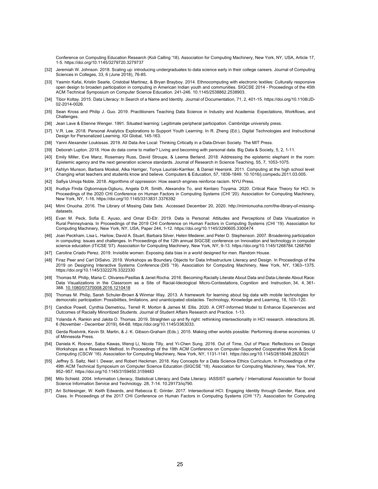Conference on Computing Education Research (Koli Calling '18). Association for Computing Machinery, New York, NY, USA, Article 17, 1-5. https://doi.org/10.1145/3279720.3279737

- [32] Jeremiah W. Johnson. 2018. Scaling up: introducing undergraduates to data science early in their college careers. Journal of Computing Sciences in Colleges, 33, 6 (June 2018), 76-85.
- [33] Yasmin Kafai, Kristin Searle, Cristobal Martinez, & Bryan Brayboy. 2014. Ethnocomputing with electronic textiles: Culturally responsive open design to broaden participation in computing in American Indian youth and communities. SIGCSE 2014 - Proceedings of the 45th ACM Technical Symposium on Computer Science Education. 241-246. 10.1145/2538862.2538903.
- [34] Tibor Koltay. 2015. Data Literacy: In Search of a Name and Identity. Journal of Documentation, 71, 2, 401-15. https://doi.org/10.1108/JD-02-2014-0026.
- [35] Sean Kross and Philip J. Guo. 2019. Practitioners Teaching Data Science in Industry and Academia: Expectations, Workflows, and Challenges.
- [36] Jean Lave & Etienne Wenger. 1991. Situated learning: Legitimate peripheral participation. Cambridge university press.
- [37] V.R. Lee. 2018. Personal Analytics Explorations to Support Youth Learning. In R. Zheng (Ed.), Digital Technologies and Instructional Design for Personalized Learning. IGI Global, 145-163.
- [38] Yanni Alexander Loukissas. 2019. All Data Are Local: Thinking Critically in a Data-Driven Society. The MIT Press.
- [39] Deborah Lupton. 2018. How do data come to matter? Living and becoming with personal data. Big Data & Society, 5, 2, 1-11.
- [40] Emily Miller, Eve Manz, Rosemary Russ, David Stroupe, & Leema Berland. 2018. Addressing the epistemic elephant in the room: Epistemic agency and the next generation science standards. Journal of Research in Science Teaching, 55, 7, 1053-1075.
- [41] Ashlyn Munson, Barbara Moskal, Alka Harriger, Tonya Lauriski-Karriker, & Daniel Heersink. 2011. Computing at the high school level: Changing what teachers and students know and believe. Computers & Education, 57, 1836-1849. 10.1016/j.compedu.2011.03.005.
- [42] Safiya Umoja Noble, 2018. Algorithms of oppression: How search engines reinforce racism. NYU Press.
- [43] Ihudiya Finda Ogbonnaya-Ogburu, Angela D.R. Smith, Alexandra To, and Kentaro Toyama. 2020. Critical Race Theory for HCI. In Proceedings of the 2020 CHI Conference on Human Factors in Computing Systems (CHI '20). Association for Computing Machinery, New York, NY, 1-16. https://doi.org/10.1145/3313831.3376392
- [44] Mimi Onuoha. 2016. The Library of Missing Data Sets. Accessed December 20, 2020. http://mimionuoha.com/the-library-of-missingdatasets.
- [45] Evan M. Peck, Sofia E. Ayuso, and Omar El-Etr. 2019. Data is Personal: Attitudes and Perceptions of Data Visualization in Rural Pennsylvania. In Proceedings of the 2019 CHI Conference on Human Factors in Computing Systems (CHI '19). Association for Computing Machinery, New York, NY, USA, Paper 244, 1-12. https://doi.org/10.1145/3290605.3300474
- [46] Joan Peckham, Lisa L. Harlow, David A. Stuart, Barbara Silver, Helen Mederer, and Peter D. Stephenson. 2007. Broadening participation in computing: issues and challenges. In Proceedings of the 12th annual SIGCSE conference on Innovation and technology in computer science education (ITiCSE '07). Association for Computing Machinery, New York, NY, 9-13. https://doi.org/10.1145/1268784.1268790
- [47] Caroline Criado Perez. 2019. Invisible women: Exposing data bias in a world designed for men. Random House.
- [48] Firaz Peer and Carl DiSalvo. 2019. Workshops as Boundary Objects for Data Infrastructure Literacy and Design. In Proceedings of the 2019 on Designing Interactive Systems Conference (DIS '19). Association for Computing Machinery, New York, NY, 1363–1375. https://doi.org/10.1145/3322276.3322330
- [49] Thomas M. Philip, Maria C. Olivares-Pasillas & Janet Rocha. 2016. Becoming Racially Literate About Data and Data-Literate About Race: Data Visualizations in the Classroom as a Site of Racial-Ideological Micro-Contestations, Cognition and Instruction, 34, 4, 361- 388. 10.1080/07370008.2016.1210418
- [50] Thomas M. Philip, Sarah Schuler-Brown & Winmar Way. 2013. A framework for learning about big data with mobile technologies for democratic participation: Possibilities, limitations, and unanticipated obstacles. Technology, Knowledge and Learning, 18, 103–120.
- [51] Candice Powell, Cynthia Demetriou, Terrell R. Morton & James M. Ellis. 2020. A CRT-Informed Model to Enhance Experiences and Outcomes of Racially Minoritized Students. Journal of Student Affairs Research and Practice. 1-13.
- [52] Yolanda A. Rankin and Jakita O. Thomas. 2019. Straighten up and fly right: rethinking intersectionality in HCI research. interactions 26, 6 (November - December 2019), 64-68. https://doi.org/10.1145/3363033.
- [53] Gerda Roelvink, Kevin St. Martin, & J. K. Gibson-Graham (Eds.). 2015. Making other worlds possible: Performing diverse economies. U of Minnesota Press.
- [54] Daniela K. Rosner, Saba Kawas, Wenqi Li, Nicole Tilly, and Yi-Chen Sung. 2016. Out of Time, Out of Place: Reflections on Design Workshops as a Research Method. In Proceedings of the 19th ACM Conference on Computer-Supported Cooperative Work & Social Computing (CSCW '16). Association for Computing Machinery, New York, NY, 1131-1141. https://doi.org/10.1145/2818048.2820021
- [55] Jeffrey S. Saltz, Neil I. Dewar, and Robert Heckman. 2018. Key Concepts for a Data Science Ethics Curriculum. In Proceedings of the 49th ACM Technical Symposium on Computer Science Education (SIGCSE '18). Association for Computing Machinery, New York, NY, 952–957. https://doi.org/10.1145/3159450.3159483
- [56] Milo Schield. 2004. Information Literacy, Statistical Literacy and Data Literacy. IASSIST quarterly / International Association for Social Science Information Service and Technology. 28, 7-14. 10.29173/iq790.
- [57] Ari Schlesinger, W. Keith Edwards, and Rebecca E. Grinter. 2017. Intersectional HCI: Engaging Identity through Gender, Race, and Class. In Proceedings of the 2017 CHI Conference on Human Factors in Computing Systems (CHI '17). Association for Computing